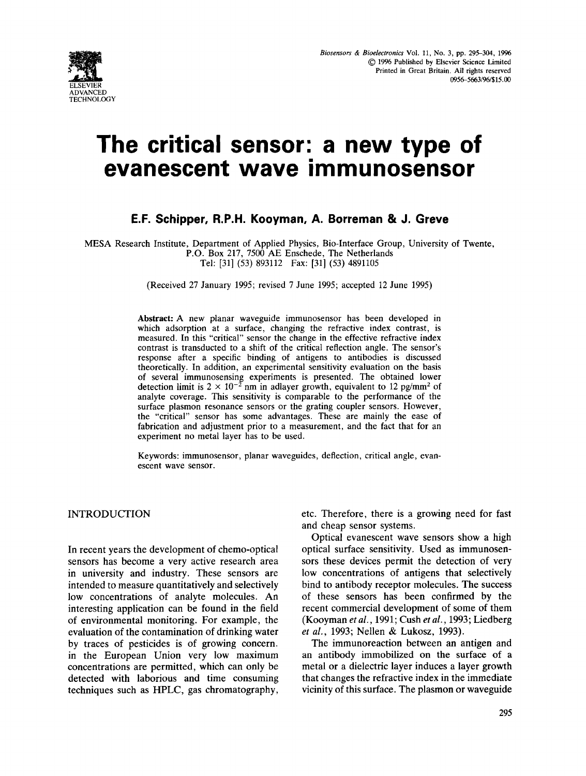

# **The critical sensor: a new type of evanescent wave immunosensor**

# **E.F. Schipper, R.P.H. Kooyman, A. Borreman & J. Greve**

MESA Research Institute, Department of Applied Physics, Bio-Interface Group, University of Twente, P.O. Box 217, 7500 AE Enschede, The Netherlands

Tel: [31] (53) 893112 Fax: [31] (53) 4891105

(Received 27 January 1995; revised 7 June 1995; accepted 12 June 1995)

**Abstract:** A new planar waveguide immunosensor has been developed in which adsorption at a surface, changing the refractive index contrast, is measured. In this "critical" sensor the change in the effective refractive index contrast is transducted to a shift of the critical reflection angle. The sensor's response after a specific binding of antigens to antibodies is discussed theoretically. In addition, an experimental sensitivity evaluation on the basis of several immunosensing experiments is presented. The obtained lower detection limit is  $2 \times 10^{-2}$  nm in adlayer growth, equivalent to 12 pg/mm<sup>2</sup> of analyte coverage. This sensitivity is comparable to the performance of the surface plasmon resonance sensors or the grating coupler sensors. However, the "critical" sensor has some advantages. These are mainly the ease of fabrication and adjustment prior to a measurement, and the fact that for an experiment no metal layer has to be used.

Keywords: immunosensor, planar waveguides, deflection, critical angle, evanescent wave sensor.

#### INTRODUCTION

In recent years the development of chemo-optical sensors has become a very active research area in university and industry. These sensors are intended to measure quantitatively and selectively low concentrations of analyte molecules. An interesting application can be found in the field of environmental monitoring. For example, the evaluation of the contamination of drinking water by traces of pesticides is of growing concern. in the European Union very low maximum concentrations are permitted, which can only be detected with laborious and time consuming techniques such as HPLC, gas chromatography, etc. Therefore, there is a growing need for fast and cheap sensor systems.

Optical evanescent wave sensors show a high optical surface sensitivity. Used as immunosensors these devices permit the detection of very low concentrations of antigens that selectively bind to antibody receptor molecules. The success of these sensors has been confirmed by the recent commercial development of some of them (Kooyman *et al.,* 1991; Cush *et al.,* 1993; Liedberg *et al.,* 1993; Nellen & Lukosz, 1993).

The immunoreaction between an antigen and an antibody immobilized on the surface of a metal or a dielectric layer induces a layer growth that changes the refractive index in the immediate vicinity of this surface. The plasmon or waveguide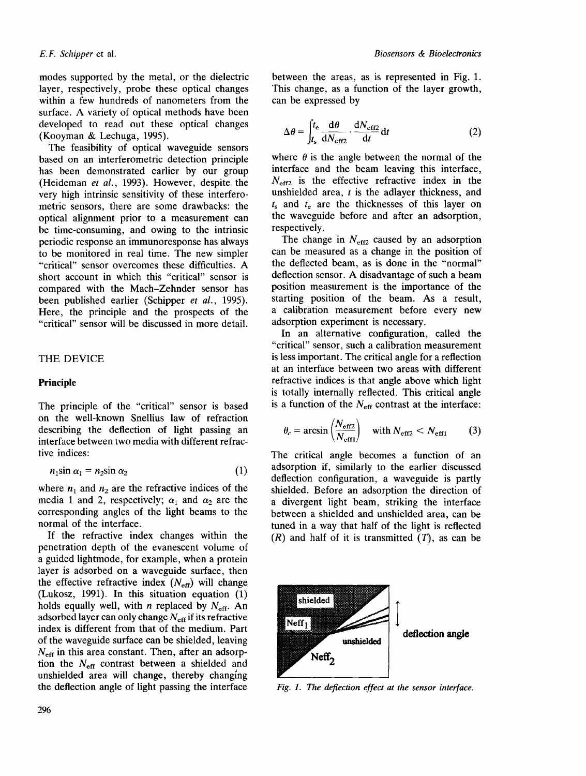modes supported by the metal, or the dielectric layer, respectively, probe these optical changes within a few hundreds of nanometers from the surface. A variety of optical methods have been developed to read out these optical changes (Kooyman & Lechuga, 1995).

The feasibility of optical waveguide sensors based on an interferometric detection principle has been demonstrated earlier by our group (Heideman *et al.,* 1993). However, despite the very high intrinsic sensitivity of these interferometric sensors, there are some drawbacks: the optical alignment prior to a measurement can be time-consuming, and owing to the intrinsic periodic response an immunoresponse has always to be monitored in real time. The new simpler "critical" sensor overcomes these difficulties. A short account in which this "critical" sensor is compared with the Mach-Zehnder sensor has been published earlier (Schipper *et al.,* 1995). Here, the principle and the prospects of the "critical" sensor will be discussed in more detail.

### THE DEVICE

## **Principle**

The principle of the "critical" sensor is based on the well-known Snellius law of refraction describing the deflection of light passing an interface between two media with different refractive indices:

$$
n_1 \sin \alpha_1 = n_2 \sin \alpha_2 \tag{1}
$$

where  $n_1$  and  $n_2$  are the refractive indices of the media 1 and 2, respectively;  $\alpha_1$  and  $\alpha_2$  are the corresponding angles of the light beams to the normal of the interface.

If the refractive index changes within the penetration depth of the evanescent volume of a guided lightmode, for example, when a protein layer is adsorbed on a waveguide surface, then the effective refractive index  $(N_{\text{eff}})$  will change (Lukosz, 1991). In this situation equation (1) holds equally well, with *n* replaced by  $N_{\text{eff}}$ . An adsorbed layer can only change  $N_{\text{eff}}$  if its refractive index is different from that of the medium. Part of the waveguide surface can be shielded, leaving  $N_{\text{eff}}$  in this area constant. Then, after an adsorption the  $N_{\text{eff}}$  contrast between a shielded and unshielded area will change, thereby changing the deflection angle of light passing the interface

between the areas, as is represented in Fig. 1. This change, as a function of the layer growth, can be expressed by

$$
\Delta \theta = \int_{t_{\rm s}}^{t_{\rm e}} \frac{\mathrm{d}\theta}{\mathrm{d}N_{\rm eff2}} \cdot \frac{\mathrm{d}N_{\rm eff2}}{\mathrm{d}t} \mathrm{d}t \tag{2}
$$

where  $\theta$  is the angle between the normal of the interface and the beam leaving this interface,  $N_{\text{eff2}}$  is the effective refractive index in the unshielded area,  $t$  is the adlayer thickness, and  $t<sub>s</sub>$  and  $t<sub>e</sub>$  are the thicknesses of this layer on the waveguide before and after an adsorption, respectively.

The change in  $N_{\text{eff2}}$  caused by an adsorption can be measured as a change in the position of the deflected beam, as is done in the "normal" deflection sensor. A disadvantage of such a beam position measurement is the importance of the starting position of the beam. As a result, a calibration measurement before every new adsorption experiment is necessary.

In an alternative configuration, called the "critical" sensor, such a calibration measurement is less important. The critical angle for a reflection at an interface between two areas with different refractive indices is that angle above which light is totally internally reflected. This critical angle is a function of the  $N_{\text{eff}}$  contrast at the interface:

$$
\theta_c = \arcsin\left(\frac{N_{\text{eff2}}}{N_{\text{eff1}}}\right) \quad \text{with } N_{\text{eff2}} < N_{\text{eff1}} \tag{3}
$$

The critical angle becomes a function of an adsorption if, similarly to the earlier discussed deflection configuration, a waveguide is partly shielded. Before an adsorption the direction of a divergent light beam, striking the interface between a shielded and unshielded area, can be tuned in a way that half of the light is reflected  $(R)$  and half of it is transmitted  $(T)$ , as can be



*Fig. 1. The deflection effect at the sensor interface.*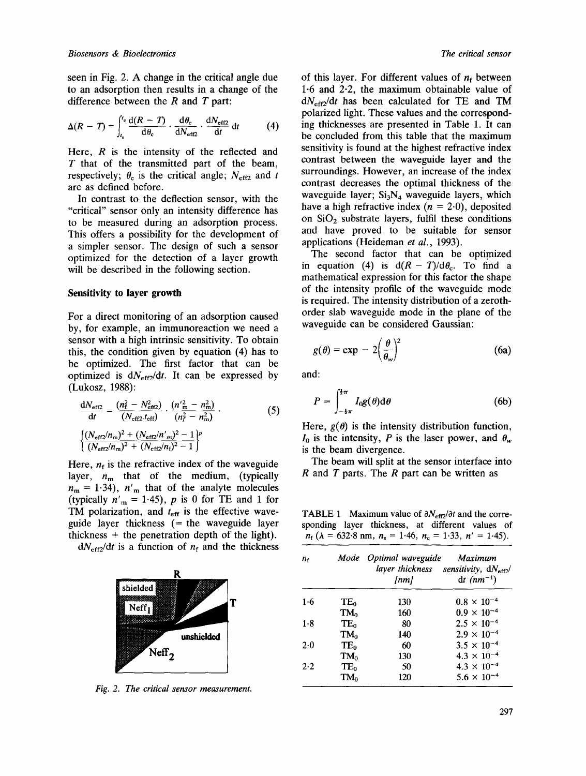seen in Fig. 2. A change in the critical angle due to an adsorption then results in a change of the difference between the  $R$  and  $T$  part:

$$
\Delta(R - T) = \int_{t_{\rm s}}^{t_{\rm c}} \frac{d(R - T)}{d\theta_{\rm c}} \cdot \frac{d\theta_{\rm c}}{dN_{\rm eff2}} \cdot \frac{dN_{\rm eff2}}{dt} dt \qquad (4)
$$

Here,  $R$  is the intensity of the reflected and T that of the transmitted part of the beam, respectively;  $\theta_c$  is the critical angle;  $N_{\text{eff2}}$  and t are as defined before.

In contrast to the deflection sensor, with the "critical" sensor only an intensity difference has to be measured during an adsorption process. This offers a possibility for the development of a simpler sensor. The design of such a sensor optimized for the detection of a layer growth will be described in the following section.

#### **Sensitivity to layer growth**

For a direct monitoring of an adsorption caused by, for example, an immunoreaction we need a sensor with a high intrinsic sensitivity. To obtain this, the condition given by equation (4) has to be optimized. The first factor that can he optimized is  $dN_{\text{eff}2}/dt$ . It can be expressed by (Lukosz, 1988):

$$
\frac{dN_{\text{eff2}}}{dt} = \frac{(n_{\text{f}}^2 - N_{\text{eff2}}^2)}{(N_{\text{eff2}} \cdot t_{\text{eff}})} \cdot \frac{(n_{\text{m}}^2 - n_{\text{m}}^2)}{(n_{\text{f}}^2 - n_{\text{m}}^2)} \cdot \left(\frac{(N_{\text{eff2}}/n_{\text{m}})^2 + (N_{\text{eff2}}/n_{\text{m}})^2 - 1}{(N_{\text{eff2}}/n_{\text{m}})^2 + (N_{\text{eff2}}/n_{\text{f}})^2 - 1}\right)^p
$$
\n(5)

Here,  $n_f$  is the refractive index of the waveguide layer,  $n_m$  that of the medium, (typically  $n_m = 1.34$ ,  $n'_m$  that of the analyte molecules (typically  $n'_m = 1.45$ ), p is 0 for TE and 1 for TM polarization, and  $t_{\text{eff}}$  is the effective waveguide layer thickness  $(=$  the waveguide layer thickness  $+$  the penetration depth of the light).

 $dN_{\text{eff2}}/dt$  is a function of  $n_f$  and the thickness



*Fig. 2. The critical sensor measurement.* 

of this layer. For different values of  $n_f$  between 1.6 and 2.2, the maximum obtainable value of *dNeff2/dt* has been calculated for TE and TM polarized light. These values and the corresponding thicknesses are presented in Table 1. It can be concluded from this table that the maximum sensitivity is found at the highest refractive index contrast between the waveguide layer and the surroundings. However, an increase of the index contrast decreases the optimal thickness of the waveguide layer;  $Si<sub>3</sub>N<sub>4</sub>$  waveguide layers, which have a high refractive index  $(n = 2.0)$ , deposited on  $SiO<sub>2</sub>$  substrate layers, fulfil these conditions and have proved to be suitable for sensor applications (Heideman *et al.,* 1993).

The second factor that can be optimized in equation (4) is  $d(R - T)/d\theta_c$ . To find a mathematical expression for this factor the shape of the intensity profile of the waveguide mode is required. The intensity distribution of a zerothorder slab waveguide mode in the plane of the waveguide can be considered Gaussian:

$$
g(\theta) = \exp - 2\left(\frac{\theta}{\theta_w}\right)^2 \tag{6a}
$$

and:

$$
P = \int_{-\frac{1}{2}\pi}^{\frac{1}{2}\pi} I_0 g(\theta) \mathrm{d}\theta \tag{6b}
$$

Here,  $g(\theta)$  is the intensity distribution function,  $I_0$  is the intensity, P is the laser power, and  $\theta_w$ is the beam divergence.

The beam will split at the sensor interface into  $R$  and  $T$  parts. The  $R$  part can be written as

TABLE 1 Maximum value of  $\partial N_{\text{eff2}}/\partial t$  and the corresponding layer thickness, at different values of  $n_f$  ( $\lambda = 632.8$  nm,  $n_s = 1.46$ ,  $n_c = 1.33$ ,  $n' = 1.45$ ).

| $n_{f}$ |                 | Mode Optimal waveguide<br>[nm] | Maximum<br>layer thickness sensitivity, $dN_{eff2}$ /<br>dt $(nm^{-1})$ |
|---------|-----------------|--------------------------------|-------------------------------------------------------------------------|
| 1·6     | $TE_0$          | 130                            | $0.8 \times 10^{-4}$                                                    |
|         | TM <sub>0</sub> | 160                            | $0.9 \times 10^{-4}$                                                    |
| 1.8     | $TE_0$          | 80                             | $2.5 \times 10^{-4}$                                                    |
|         | $TM_0$          | 140                            | $2.9 \times 10^{-4}$                                                    |
| $2-0$   | $TE_0$          | 60                             | $3.5 \times 10^{-4}$                                                    |
|         | $TM_0$          | 130                            | $4.3 \times 10^{-4}$                                                    |
| $2-2$   | TE <sub>0</sub> | 50                             | $4.3 \times 10^{-4}$                                                    |
|         | TM0             | 120                            | $5.6 \times 10^{-4}$                                                    |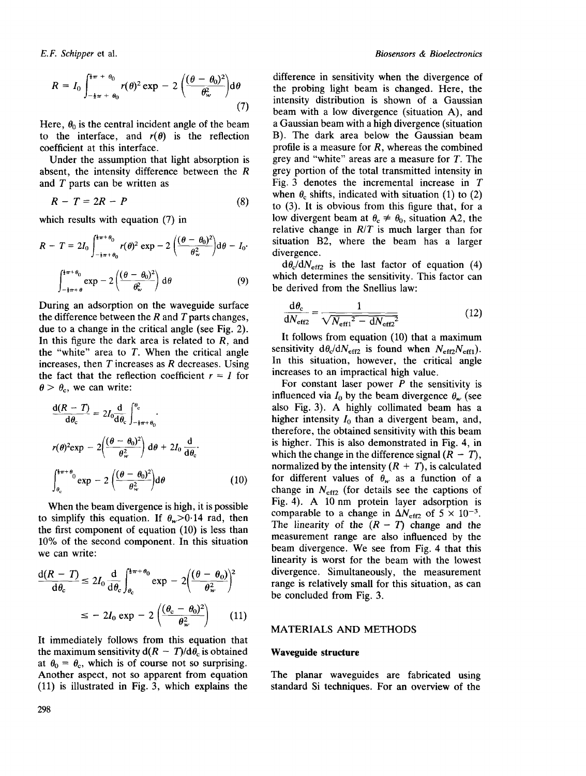$$
R = I_0 \int_{-\frac{1}{2}\pi + \theta_0}^{\frac{1}{2}\pi + \theta_0} r(\theta)^2 \exp - 2 \left( \frac{(\theta - \theta_0)^2}{\theta_w^2} \right) d\theta \tag{7}
$$

Here,  $\theta_0$  is the central incident angle of the beam to the interface, and  $r(\theta)$  is the reflection coefficient at this interface.

Under the assumption that light absorption is absent, the intensity difference between the R and  $T$  parts can be written as

$$
R - T = 2R - P \tag{8}
$$

which results with equation (7) in

$$
R - T = 2I_0 \int_{-\frac{1}{2}\pi + \theta_0}^{\frac{1}{2}\pi + \theta_0} r(\theta)^2 \exp(-2\left(\frac{(\theta - \theta_0)^2}{\theta_w^2}\right) d\theta - I_0
$$

$$
\int_{-\frac{1}{2}\pi + \theta_0}^{\frac{1}{2}\pi + \theta_0} \exp(-2\left(\frac{(\theta - \theta_0)^2}{\theta_w^2}\right) d\theta \qquad (9)
$$

During an adsorption on the waveguide surface the difference between the  $R$  and  $T$  parts changes, due to a change in the critical angle (see Fig. 2). In this figure the dark area is related to  $R$ , and the "white" area to  $T$ . When the critical angle increases, then  $T$  increases as  $R$  decreases. Using the fact that the reflection coefficient  $r = 1$  for  $\theta > \theta_c$ , we can write:

$$
\frac{d(R - T)}{d\theta_c} = 2I_0 \frac{d}{d\theta_c} \int_{-\frac{1}{4}\pi + \theta_0}^{\theta_c} \cdot
$$
  

$$
r(\theta)^2 \exp \left(-2\left(\frac{(\theta - \theta_0)^2}{\theta_w^2}\right) d\theta + 2I_0 \frac{d}{d\theta_c} \cdot
$$
  

$$
\int_{\theta_c}^{\frac{1}{4}\pi + \theta_0} \exp \left(-2\left(\frac{(\theta - \theta_0)^2}{\theta_w^2}\right) d\theta\right) \tag{10}
$$

When the beam divergence is high, it is possible to simplify this equation. If  $\theta_w > 0.14$  rad, then the first component of equation (10) is less than 10% of the second component. In this situation we can write:

$$
\frac{d(R - T)}{d\theta_c} \le 2I_0 \frac{d}{d\theta_c} \int_{\theta_c}^{\frac{1}{2}\pi + \theta_0} \exp \left(-2\left(\frac{(\theta - \theta_0)}{\theta_w^2}\right)^2\right)
$$

$$
\le -2I_0 \exp \left(-2\left(\frac{(\theta_c - \theta_0)^2}{\theta_w^2}\right)\right) \tag{11}
$$

It immediately follows from this equation that the maximum sensitivity  $d(R - T)/d\theta_c$  is obtained at  $\theta_0 = \theta_c$ , which is of course not so surprising. Another aspect, not so apparent from equation (11) is illustrated in Fig. 3, which explains the

difference in sensitivity when the divergence of the probing light beam is changed. Here, the intensity distribution is shown of a Gaussian beam with a low divergence (situation A), and a Gaussian beam with a high divergence (situation B). The dark area below the Gaussian beam profile is a measure for  $R$ , whereas the combined grey and "white" areas are a measure for T. The grey portion of the total transmitted intensity in Fig. 3 denotes the incremental increase in  $T$ when  $\theta_c$  shifts, indicated with situation (1) to (2) to (3). It is obvious from this figure that, for a low divergent beam at  $\theta_c \neq \theta_0$ , situation A2, the relative change in *R/T* is much larger than for situation B2, where the beam has a larger divergence.

 $d\theta_c/dN_{\text{eff2}}$  is the last factor of equation (4) which determines the sensitivity. This factor can be derived from the Snellius law:

$$
\frac{d\theta_c}{dN_{\text{eff2}}} = \frac{1}{\sqrt{N_{\text{eff1}}^2 - dN_{\text{eff2}}^2}}\tag{12}
$$

It follows from equation (10) that a maximum sensitivity  $d\theta_c/dN_{\text{eff2}}$  is found when  $N_{\text{eff2}}N_{\text{eff1}}$ ). In this situation, however, the critical angle increases to an impractical high value.

For constant laser power  $P$  the sensitivity is influenced via  $I_0$  by the beam divergence  $\theta_w$  (see also Fig. 3). A highly collimated beam has a higher intensity  $I_0$  than a divergent beam, and, therefore, the obtained sensitivity with this beam is higher. This is also demonstrated in Fig. 4, in which the change in the difference signal  $(R - T)$ , normalized by the intensity  $(R + T)$ , is calculated for different values of  $\theta_w$  as a function of a change in  $N<sub>eff2</sub>$  (for details see the captions of Fig. 4). A 10 nm protein layer adsorption is comparable to a change in  $\Delta N_{\text{eff2}}$  of  $5 \times 10^{-3}$ . The linearity of the  $(R - T)$  change and the measurement range are also influenced by the beam divergence. We see from Fig. 4 that this linearity is worst for the beam with the lowest divergence. Simultaneously, the measurement range is relatively small for this situation, as can be concluded from Fig. 3.

#### MATERIALS AND METHODS

#### **Waveguide structure**

The planar waveguides are fabricated using standard Si techniques. For an overview of the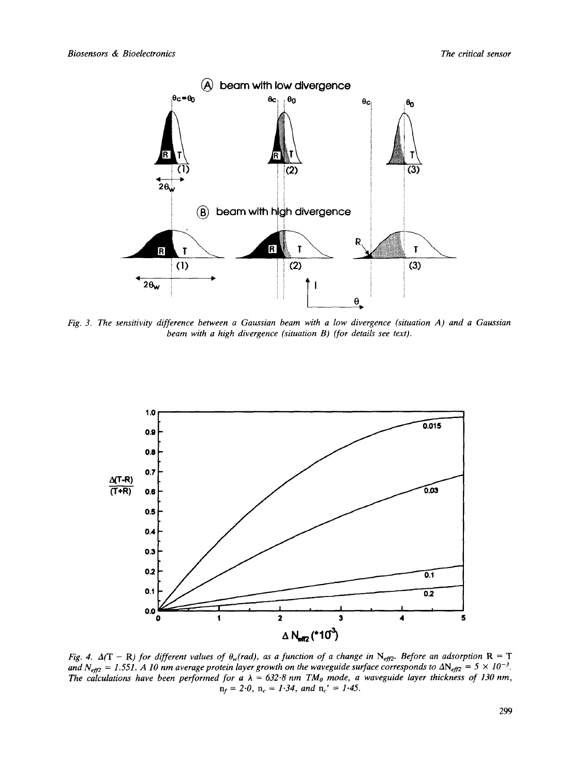

*Fig. 3. The sensitivity difference between a Gaussian beam with a low divergence (situation A) and a Gaussian beam with a high divergence (situation B) (for details see text).* 



*Fig. 4.*  $\Delta(T - R)$  for different values of  $\theta_w$ (rad), as a function of a change in N<sub>eff2</sub>. Before an adsorption R = T and  $N_{\text{eff2}} = 1.551$ . A 10 nm average protein layer growth on the waveguide surface corresponds to  $\Delta N_{\text{eff2}} = 5 \times 10^{-3}$ . The calculations have been performed for a  $\lambda = 632.8$  nm TM<sub>o</sub> mode, a waveguide layer thickness of 130 nm,  $n_f = 2.0$ ,  $n_c = 1.34$ , and  $n_c' = 1.45$ .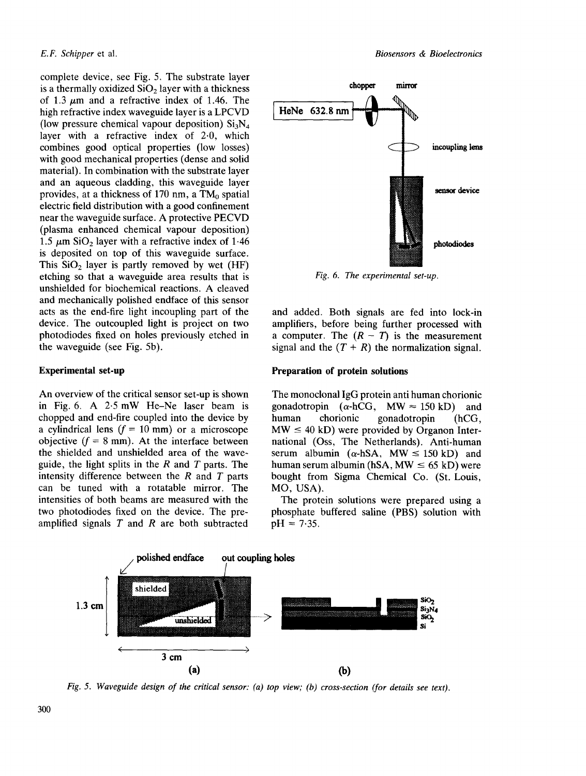complete device, see Fig. 5. The substrate layer is a thermally oxidized  $SiO<sub>2</sub>$  layer with a thickness of 1.3  $\mu$ m and a refractive index of 1.46. The high refractive index waveguide layer is a LPCVD (low pressure chemical vapour deposition)  $Si<sub>3</sub>N<sub>4</sub>$ layer with a refractive index of 2.0, which combines good optical properties (low losses) with good mechanical properties (dense and solid material). In combination with the substrate layer and an aqueous cladding, this waveguide layer provides, at a thickness of 170 nm, a  $TM_0$  spatial electric field distribution with a good confinement near the waveguide surface. A protective PECVD (plasma enhanced chemical vapour deposition) 1.5  $\mu$ m SiO<sub>2</sub> layer with a refractive index of 1.46 is deposited on top of this waveguide surface. This  $SiO<sub>2</sub>$  layer is partly removed by wet (HF) etching so that a waveguide area results that is unshielded for biochemical reactions. A cleaved and mechanically polished endface of this sensor acts as the end-fire light incoupling part of the device. The outcoupled light is project on two photodiodes fixed on holes previously etched in the waveguide (see Fig. 5b).

#### **Experimental set-up**

An overview of the critical sensor set-up is shown in Fig. 6. A 2.5 mW He-Ne laser beam is chopped and end-fire coupled into the device by a cylindrical lens  $(f = 10 \text{ mm})$  or a microscope objective  $(f = 8 \text{ mm})$ . At the interface between the shielded and unshielded area of the waveguide, the light splits in the  $R$  and  $T$  parts. The intensity difference between the  $R$  and  $T$  parts can be tuned with a rotatable mirror. The intensities of both beams are measured with the two photodiodes fixed on the device. The preamplified signals  $T$  and  $R$  are both subtracted



*Fig. 6. The experimental set-up.* 

and added. Both signals are fed into lock-in amplifiers, before being further processed with a computer. The  $(R - T)$  is the measurement signal and the  $(T + R)$  the normalization signal.

# **Preparation of protein solutions**

The monoclonal IgG protein anti human chorionic gonadotropin ( $\alpha$ -hCG, MW  $\approx$  150 kD) and human chorionic gonadotropin (hCG,  $MW \leq 40$  kD) were provided by Organon International (Oss, The Netherlands). Anti-human serum albumin ( $\alpha$ -hSA, MW  $\leq$  150 kD) and human serum albumin (hSA,  $MW \leq 65$  kD) were bought from Sigma Chemical Co. (St. Louis, MO, USA),

The protein solutions were prepared using a phosphate buffered saline (PBS) solution with  $pH = 7.35$ .



*Fig. 5. Waveguide design of the critical sensor: (a) top view; (b) cross-section (for details see text).*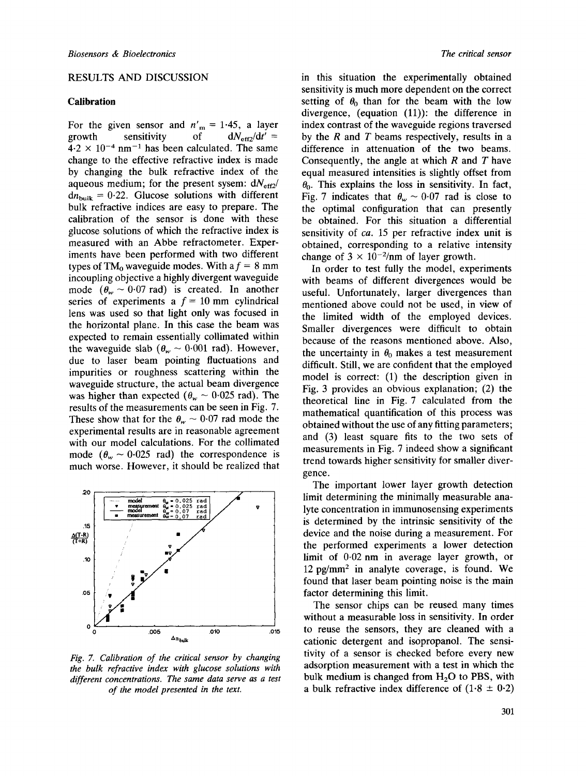#### RESULTS AND DISCUSSION

## **Calibration**

For the given sensor and  $n'_m = 1.45$ , a layer growth sensitivity of  $dN_{\text{eff}2}/dt' =$  $4.2 \times 10^{-4}$  nm<sup>-1</sup> has been calculated. The same change to the effective refractive index is made by changing the bulk refractive index of the aqueous medium; for the present sysem: *dNefe2/*   $dn_{bulk} = 0.22$ . Glucose solutions with different bulk refractive indices are easy to prepare. The calibration of the sensor is done with these glucose solutions of which the refractive index is measured with an Abbe refractometer. Experiments have been performed with two different types of TM<sub>0</sub> waveguide modes. With a  $f = 8$  mm incoupling objective a highly divergent waveguide mode  $(\theta_w \sim 0.07 \text{ rad})$  is created. In another series of experiments a  $f = 10$  mm cylindrical lens was used so that light only was focused in the horizontal plane. In this case the beam was expected to remain essentially collimated within the waveguide slab  $(\theta_w \sim 0.001 \text{ rad})$ . However, due to laser beam pointing fluctuations and impurities or roughness scattering within the waveguide structure, the actual beam divergence was higher than expected ( $\theta_w \sim 0.025$  rad). The results of the measurements can be seen in Fig. 7. These show that for the  $\theta_w \sim 0.07$  rad mode the experimental results are in reasonable agreement with our model calculations. For the collimated mode ( $\theta_w \sim 0.025$  rad) the correspondence is much worse. However, it should be realized that



*Fig. 7. Calibration of the critical sensor by changing the bulk refractive index with glucose solutions with different concentrations. The same data serve as a test of the model presented in the text.* 

in this situation the experimentally obtained sensitivity is much more dependent on the correct setting of  $\theta_0$  than for the beam with the low divergence, (equation (11)): the difference in index contrast of the waveguide regions traversed by the  $R$  and  $T$  beams respectively, results in a difference in attenuation of the two beams. Consequently, the angle at which  $R$  and  $T$  have equal measured intensities is slightly offset from  $\theta_0$ . This explains the loss in sensitivity. In fact, Fig. 7 indicates that  $\theta_w \sim 0.07$  rad is close to the optimal configuration that can presently be obtained. For this situation a differential sensitivity of *ca.* 15 per refractive index unit is obtained, corresponding to a relative intensity change of  $3 \times 10^{-2}$ /nm of layer growth.

In order to test fully the model, experiments with beams of different divergences would be useful. Unfortunately, larger divergences than mentioned above could not be used, in view of the limited width of the employed devices. Smaller divergences were difficult to obtain because of the reasons mentioned above. Also, the uncertainty in  $\theta_0$  makes a test measurement difficult. Still, we are confident that the employed model is correct: (1) the description given in Fig. 3 provides an obvious explanation; (2) the theoretical line in Fig. 7 calculated from the mathematical quantification of this process was obtained without the use of any fitting parameters; and (3) least square fits to the two sets of measurements in Fig. 7 indeed show a significant trend towards higher sensitivity for smaller divergence.

The important lower layer growth detection limit determining the minimally measurable analyte concentration in immunosensing experiments is determined by the intrinsic sensitivity of the device and the noise during a measurement. For the performed experiments a lower detection limit of 0.02 nm in average layer growth, or  $12$  pg/mm<sup>2</sup> in analyte coverage, is found. We found that laser beam pointing noise is the main factor determining this limit.

The sensor chips can be reused many times without a measurable loss in sensitivity. In order to reuse the sensors, they are cleaned with a cationic detergent and isopropanol. The sensitivity of a sensor is checked before every new adsorption measurement with a test in which the bulk medium is changed from  $H<sub>2</sub>O$  to PBS, with a bulk refractive index difference of  $(1.8 \pm 0.2)$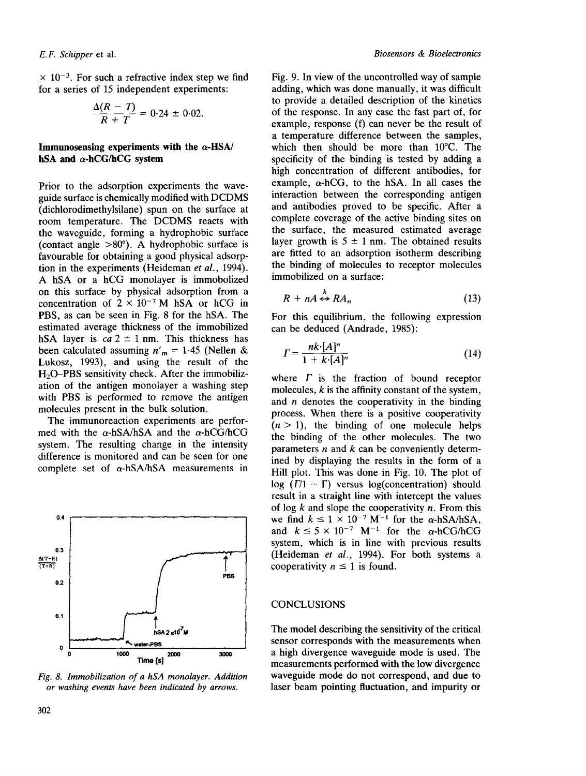$\times$  10<sup>-3</sup>. For such a refractive index step we find for a series of 15 independent experiments:

$$
\frac{\Delta(R-T)}{R+T}=0.24\pm0.02.
$$

# **Immunosensing experiments with the**  $\alpha$ **-HSA/ hSA and a-hCG/hCG system**

Prior to the adsorption experiments the waveguide surface is chemically modified with DCDMS (dichlorodimethylsilane) spun on the surface at room temperature. The DCDMS reacts with the waveguide, forming a hydrophobic surface (contact angle >80°). A hydrophobic surface is favourable for obtaining a good physical adsorption in the experiments (Heideman *et al.,* 1994). A hSA or a hCG monolayer is immobolized on this surface by physical adsorption from a concentration of  $2 \times 10^{-7}$  M hSA or hCG in PBS, as can be seen in Fig. 8 for the hSA. The estimated average thickness of the immobilized hSA layer is  $ca 2 \pm 1$  nm. This thickness has been calculated assuming  $n'_m = 1.45$  (Nellen & Lukosz, 1993), and using the result of the H<sub>2</sub>O-PBS sensitivity check. After the immobilization of the antigen monolayer a washing step with PBS is performed to remove the antigen molecules present in the bulk solution.

The immunoreaction experiments are performed with the  $\alpha$ -hSA/hSA and the  $\alpha$ -hCG/hCG system. The resulting change in the intensity difference is monitored and can be seen for one complete set of *a-hSA/hSA* measurements in



*Fig. 8. Immobilization of a hSA monolayer. Addition or washing events have been indicated by arrows.* 

Fig. 9. In view of the uncontrolled way of sample adding, which was done manually, it was difficult to provide a detailed description of the kinetics of the response. In any case the fast part of, for example, response (f) can never be the result of a temperature difference between the samples, which then should be more than 10°C. The specificity of the binding is tested by adding a high concentration of different antibodies, for example,  $\alpha$ -hCG, to the hSA. In all cases the interaction between the corresponding antigen and antibodies proved to be specific. After a complete coverage of the active binding sites on the surface, the measured estimated average layer growth is  $5 \pm 1$  nm. The obtained results are fitted to an adsorption isotherm describing the binding of molecules to receptor molecules immobilized on a surface:

$$
R + nA \leftrightarrow R A_n \tag{13}
$$

For this equilibrium, the following expression can be deduced (Andrade, 1985):

$$
\Gamma = \frac{nk \cdot [A]^n}{1 + k \cdot [A]^n} \tag{14}
$$

where  $\Gamma$  is the fraction of bound receptor molecules,  $k$  is the affinity constant of the system, and  $n$  denotes the cooperativity in the binding process. When there is a positive cooperativity  $(n > 1)$ , the binding of one molecule helps the binding of the other molecules. The two parameters  $n$  and  $k$  can be conveniently determined by displaying the results in the form of a Hill plot. This was done in Fig. 10. The plot of log  $(\Gamma/1 - \Gamma)$  versus log(concentration) should result in a straight line with intercept the values of log  $k$  and slope the cooperativity  $n$ . From this we find  $k \le 1 \times 10^{-7}$  M<sup>-1</sup> for the  $\alpha$ -hSA/hSA, and  $k \leq 5 \times 10^{-7}$  M<sup>-1</sup> for the  $\alpha$ -hCG/hCG system, which is in line with previous results (Heideman *et al.,* 1994). For both systems a cooperativity  $n \leq 1$  is found.

# CONCLUSIONS

The model describing the sensitivity of the critical sensor corresponds with the measurements when a high divergence waveguide mode is used. The measurements performed with the low divergence waveguide mode do not correspond, and due to laser beam pointing fluctuation, and impurity or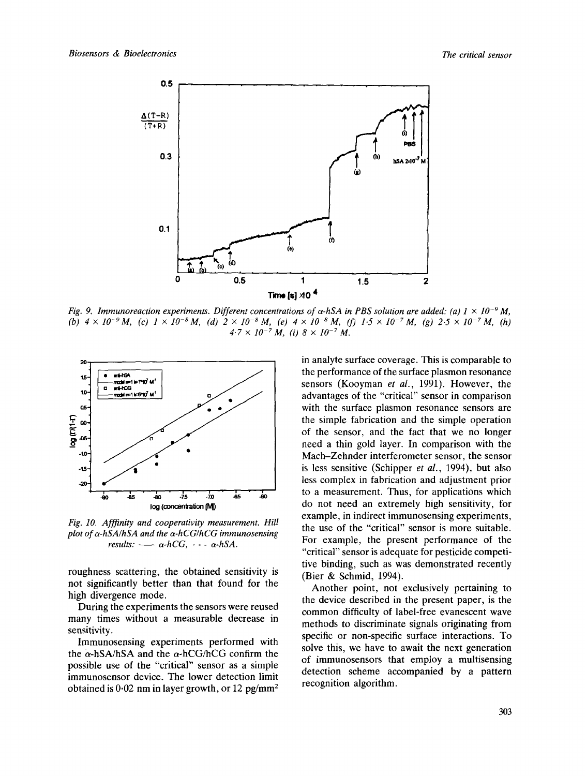

*Fig. 9. Immunoreaction experiments. Different concentrations of*  $\alpha$ *-hSA in PBS solution are added: (a) 1 × 10<sup>-9</sup> M, (b)*  $4 \times 10^{-9}$  *M, (c)*  $1 \times 10^{-8}$  *M, (d)*  $2 \times 10^{-8}$  *M, (e)*  $4 \times 10^{-8}$  *M, (f)*  $1.5 \times 10^{-7}$  *M, (g)*  $2.5 \times 10^{-7}$  *M, (h)*  $4.7 \times 10^{-7}$  M, (i)  $8 \times 10^{-7}$  M.



*Fig. 10. Afffinity and cooperativity measurement. Hill plot of a-hSA/hSA and the a-hCG/hCG immunosensing*   $results: -\alpha-hCG, -\cdot -\alpha-hSA.$ 

roughness scattering, the obtained sensitivity is not significantly better than that found for the high divergence mode.

During the experiments the sensors were reused many times without a measurable decrease in sensitivity.

Immunosensing experiments performed with the  $\alpha$ -hSA/hSA and the  $\alpha$ -hCG/hCG confirm the possible use of the "critical" sensor as a simple immunosensor device. The lower detection limit obtained is  $0.02$  nm in layer growth, or 12 pg/mm<sup>2</sup> in analyte surface coverage. This is comparable to the performance of the surface plasmon resonance sensors (Kooyman *et al.,* 1991). However, the advantages of the "critical" sensor in comparison with the surface plasmon resonance sensors are the simple fabrication and the simple operation of the sensor, and the fact that we no longer need a thin gold layer. In comparison with the Mach-Zehnder interferometer sensor, the sensor is less sensitive (Schipper *et al.,* 1994), but also less complex in fabrication and adjustment prior to a measurement. Thus, for applications which do not need an extremely high sensitivity, for example, in indirect immunosensing experiments, the use of the "critical" sensor is more suitable. For example, the present performance of the "critical" sensor is adequate for pesticide competitive binding, such as was demonstrated recently (Bier & Schmid, 1994).

Another point, not exclusively pertaining to the device described in the present paper, is the common difficulty of label-free evanescent wave methods to discriminate signals originating from specific or non-specific surface interactions. To solve this, we have to await the next generation of immunosensors that employ a multisensing detection scheme accompanied by a pattern recognition algorithm.